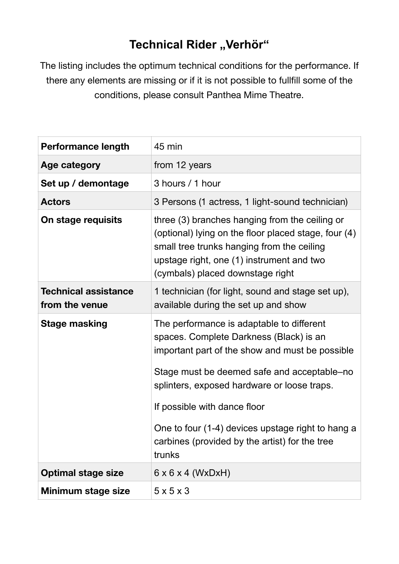## **Technical Rider "Verhör"**

The listing includes the optimum technical conditions for the performance. If there any elements are missing or if it is not possible to fullfill some of the conditions, please consult Panthea Mime Theatre.

| <b>Performance length</b>                     | 45 min                                                                                                                                                                                                                                                                                                                                                                                 |
|-----------------------------------------------|----------------------------------------------------------------------------------------------------------------------------------------------------------------------------------------------------------------------------------------------------------------------------------------------------------------------------------------------------------------------------------------|
| Age category                                  | from 12 years                                                                                                                                                                                                                                                                                                                                                                          |
| Set up / demontage                            | 3 hours / 1 hour                                                                                                                                                                                                                                                                                                                                                                       |
| <b>Actors</b>                                 | 3 Persons (1 actress, 1 light-sound technician)                                                                                                                                                                                                                                                                                                                                        |
| On stage requisits                            | three (3) branches hanging from the ceiling or<br>(optional) lying on the floor placed stage, four (4)<br>small tree trunks hanging from the ceiling<br>upstage right, one (1) instrument and two<br>(cymbals) placed downstage right                                                                                                                                                  |
| <b>Technical assistance</b><br>from the venue | 1 technician (for light, sound and stage set up),<br>available during the set up and show                                                                                                                                                                                                                                                                                              |
| <b>Stage masking</b>                          | The performance is adaptable to different<br>spaces. Complete Darkness (Black) is an<br>important part of the show and must be possible<br>Stage must be deemed safe and acceptable–no<br>splinters, exposed hardware or loose traps.<br>If possible with dance floor<br>One to four (1-4) devices upstage right to hang a<br>carbines (provided by the artist) for the tree<br>trunks |
| <b>Optimal stage size</b>                     | $6 \times 6 \times 4$ (WxDxH)                                                                                                                                                                                                                                                                                                                                                          |
| Minimum stage size                            | $5 \times 5 \times 3$                                                                                                                                                                                                                                                                                                                                                                  |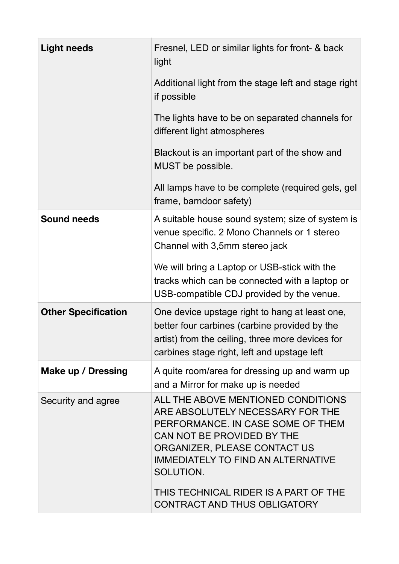| <b>Light needs</b>         | Fresnel, LED or similar lights for front- & back<br>light                                                                                                                                                                           |
|----------------------------|-------------------------------------------------------------------------------------------------------------------------------------------------------------------------------------------------------------------------------------|
|                            | Additional light from the stage left and stage right<br>if possible                                                                                                                                                                 |
|                            | The lights have to be on separated channels for<br>different light atmospheres                                                                                                                                                      |
|                            | Blackout is an important part of the show and<br>MUST be possible.                                                                                                                                                                  |
|                            | All lamps have to be complete (required gels, gel<br>frame, barndoor safety)                                                                                                                                                        |
| <b>Sound needs</b>         | A suitable house sound system; size of system is<br>venue specific. 2 Mono Channels or 1 stereo<br>Channel with 3,5mm stereo jack                                                                                                   |
|                            | We will bring a Laptop or USB-stick with the<br>tracks which can be connected with a laptop or<br>USB-compatible CDJ provided by the venue.                                                                                         |
| <b>Other Specification</b> | One device upstage right to hang at least one,<br>better four carbines (carbine provided by the<br>artist) from the ceiling, three more devices for<br>carbines stage right, left and upstage left                                  |
| Make up / Dressing         | A quite room/area for dressing up and warm up<br>and a Mirror for make up is needed                                                                                                                                                 |
| Security and agree         | ALL THE ABOVE MENTIONED CONDITIONS<br>ARE ABSOLUTELY NECESSARY FOR THE<br>PERFORMANCE. IN CASE SOME OF THEM<br>CAN NOT BE PROVIDED BY THE<br>ORGANIZER, PLEASE CONTACT US<br><b>IMMEDIATELY TO FIND AN ALTERNATIVE</b><br>SOLUTION. |
|                            | THIS TECHNICAL RIDER IS A PART OF THE<br>CONTRACT AND THUS OBLIGATORY                                                                                                                                                               |